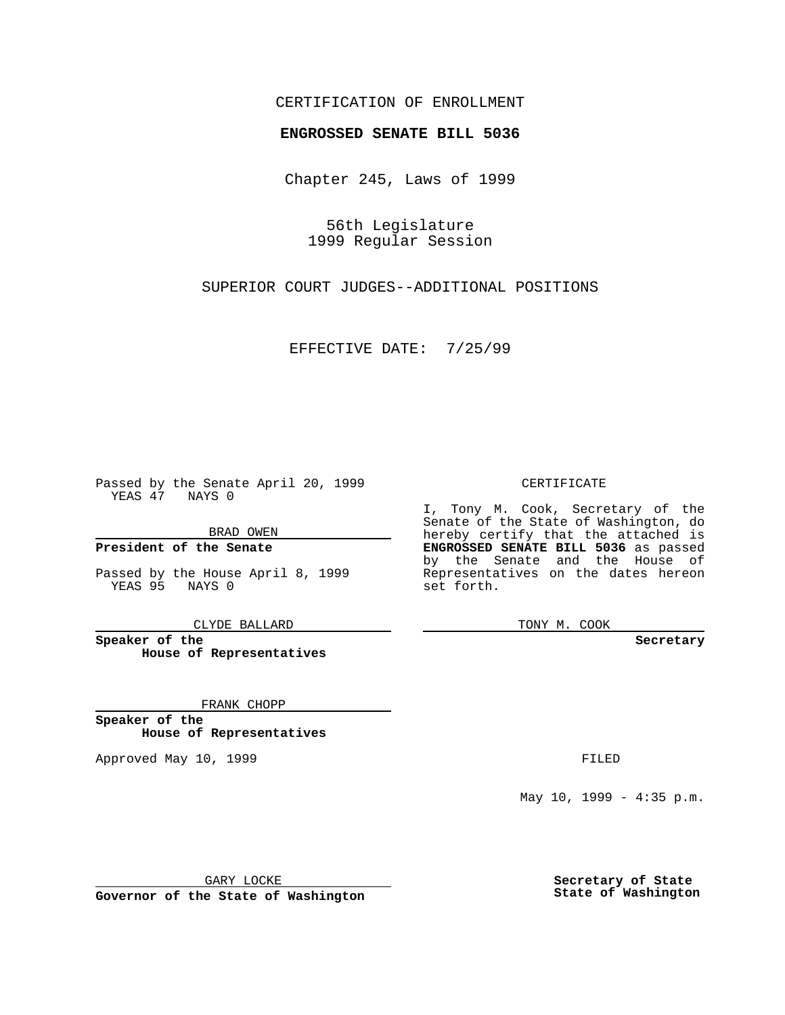## CERTIFICATION OF ENROLLMENT

## **ENGROSSED SENATE BILL 5036**

Chapter 245, Laws of 1999

56th Legislature 1999 Regular Session

SUPERIOR COURT JUDGES--ADDITIONAL POSITIONS

EFFECTIVE DATE: 7/25/99

Passed by the Senate April 20, 1999 YEAS 47 NAYS 0

BRAD OWEN

**President of the Senate**

Passed by the House April 8, 1999 YEAS 95 NAYS 0

CLYDE BALLARD

**Speaker of the House of Representatives**

FRANK CHOPP

**Speaker of the House of Representatives**

Approved May 10, 1999 **FILED** 

CERTIFICATE

I, Tony M. Cook, Secretary of the Senate of the State of Washington, do hereby certify that the attached is **ENGROSSED SENATE BILL 5036** as passed by the Senate and the House of Representatives on the dates hereon set forth.

TONY M. COOK

**Secretary**

May 10, 1999 - 4:35 p.m.

GARY LOCKE

**Governor of the State of Washington**

**Secretary of State State of Washington**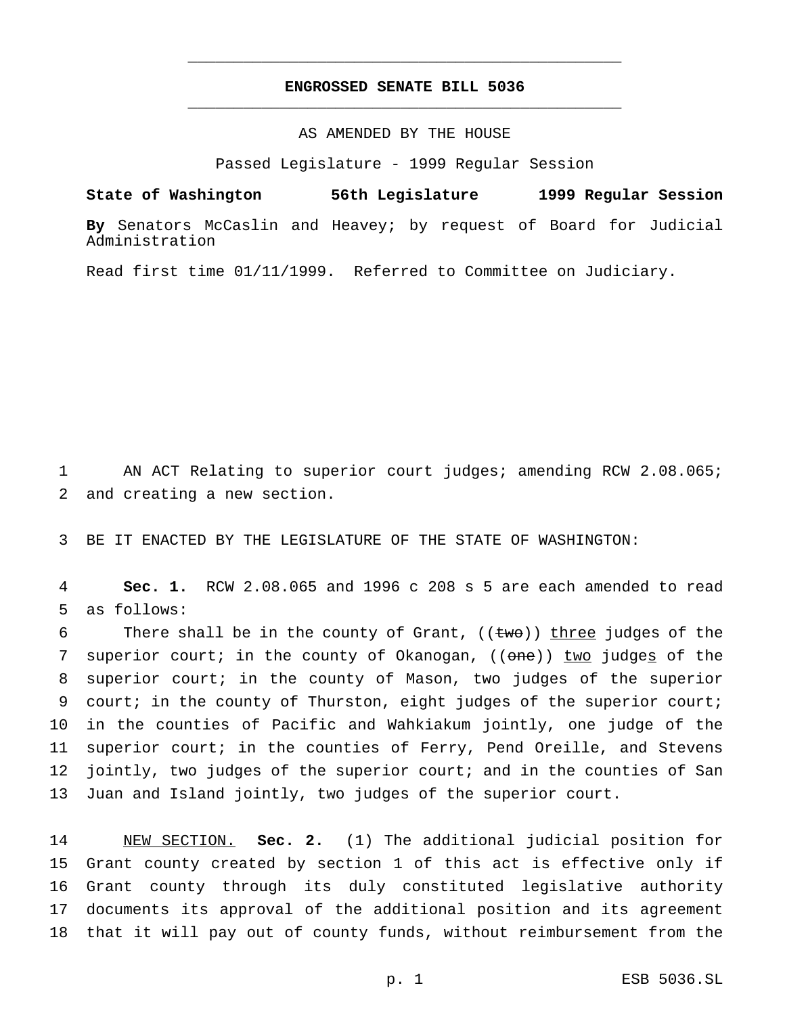## **ENGROSSED SENATE BILL 5036** \_\_\_\_\_\_\_\_\_\_\_\_\_\_\_\_\_\_\_\_\_\_\_\_\_\_\_\_\_\_\_\_\_\_\_\_\_\_\_\_\_\_\_\_\_\_\_

\_\_\_\_\_\_\_\_\_\_\_\_\_\_\_\_\_\_\_\_\_\_\_\_\_\_\_\_\_\_\_\_\_\_\_\_\_\_\_\_\_\_\_\_\_\_\_

## AS AMENDED BY THE HOUSE

Passed Legislature - 1999 Regular Session

**State of Washington 56th Legislature 1999 Regular Session**

**By** Senators McCaslin and Heavey; by request of Board for Judicial Administration

Read first time 01/11/1999. Referred to Committee on Judiciary.

1 AN ACT Relating to superior court judges; amending RCW 2.08.065; 2 and creating a new section.

3 BE IT ENACTED BY THE LEGISLATURE OF THE STATE OF WASHINGTON:

4 **Sec. 1.** RCW 2.08.065 and 1996 c 208 s 5 are each amended to read 5 as follows:

6 There shall be in the county of Grant,  $((two))$  three judges of the 7 superior court; in the county of Okanogan, ((one)) two judges of the superior court; in the county of Mason, two judges of the superior court; in the county of Thurston, eight judges of the superior court; in the counties of Pacific and Wahkiakum jointly, one judge of the superior court; in the counties of Ferry, Pend Oreille, and Stevens jointly, two judges of the superior court; and in the counties of San Juan and Island jointly, two judges of the superior court.

 NEW SECTION. **Sec. 2.** (1) The additional judicial position for Grant county created by section 1 of this act is effective only if Grant county through its duly constituted legislative authority documents its approval of the additional position and its agreement that it will pay out of county funds, without reimbursement from the